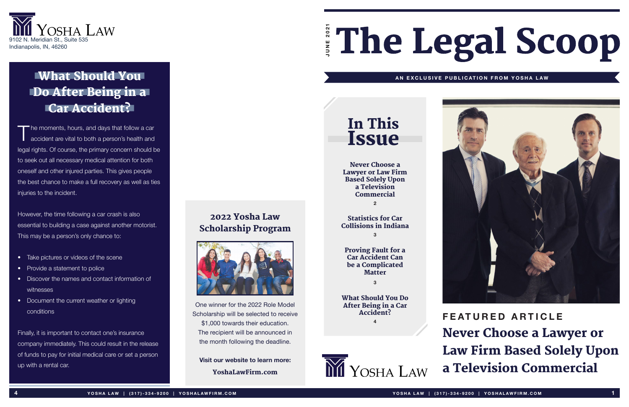## In This Issue

# Ene Legal Scoop **JUNE 2021**



### What Should You Do After Being in a Car Accident?

#### **AN EXCLUSIVE PUBLICATION FROM YOSHA LAW**



**FEATURED ARTICLE** Never Choose a Lawyer or Law Firm Based Solely Upon a Television Commercial

The moments, hours, and days that follow a car accident are vital to both a person's health and legal rights. Of course, the primary concern should be to seek out all necessary medical attention for both oneself and other injured parties. This gives people the best chance to make a full recovery as well as ties injuries to the incident.

However, the time following a car crash is also essential to building a case against another motorist. This may be a person's only chance to:

> Proving Fault for a Car Accident Can be a Complicated **Matter**

- Take pictures or videos of the scene
- Provide a statement to police
- Discover the names and contact information of witnesses
- Document the current weather or lighting conditions

Finally, it is important to contact one's insurance company immediately. This could result in the release of funds to pay for initial medical care or set a person up with a rental car.

One winner for the 2022 Role Model Scholarship will be selected to receive \$1,000 towards their education. The recipient will be announced in the month following the deadline.

**Visit our website to learn more:** YoshaLawFirm.com

### 2022 Yosha Law Scholarship Program



Never Choose a Lawyer or Law Firm Based Solely Upon a Television Commercial

**2**

#### Statistics for Car Collisions in Indiana **3**

**3**

What Should You Do After Being in a Car Accident?

**4**